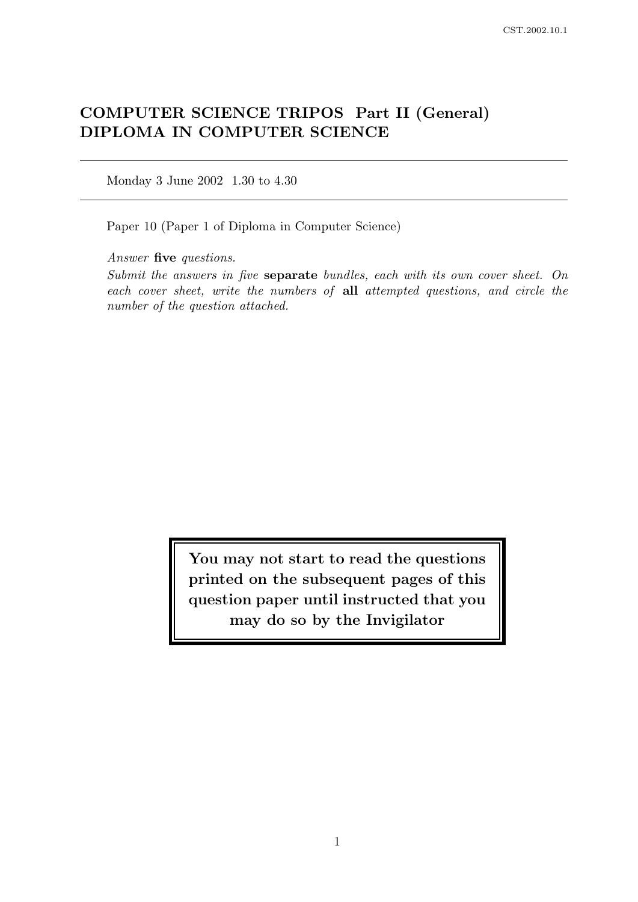# COMPUTER SCIENCE TRIPOS Part II (General) DIPLOMA IN COMPUTER SCIENCE

Monday 3 June 2002 1.30 to 4.30

Paper 10 (Paper 1 of Diploma in Computer Science)

Answer five questions.

Submit the answers in five separate bundles, each with its own cover sheet. On each cover sheet, write the numbers of all attempted questions, and circle the number of the question attached.

> You may not start to read the questions printed on the subsequent pages of this question paper until instructed that you may do so by the Invigilator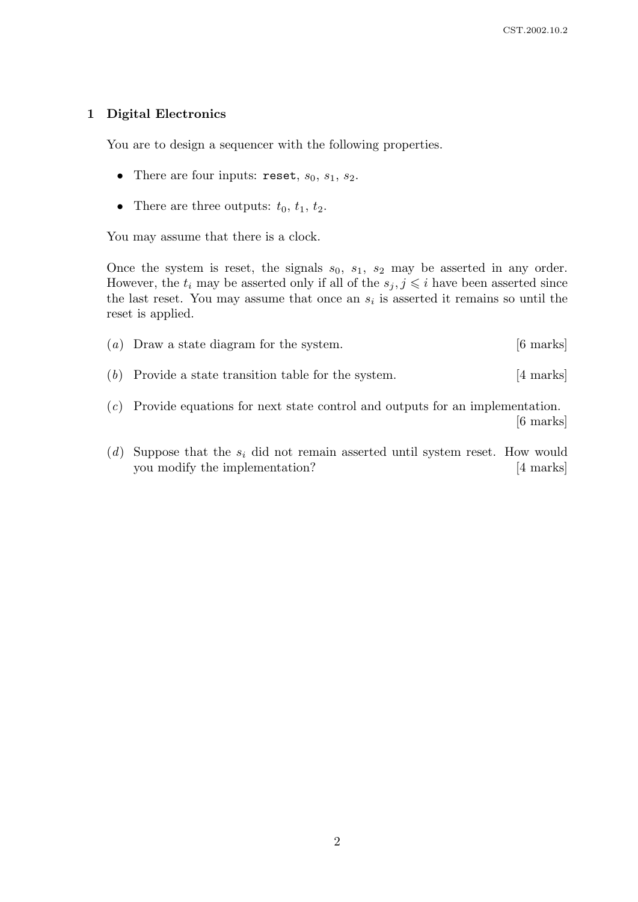### 1 Digital Electronics

You are to design a sequencer with the following properties.

- There are four inputs: reset,  $s_0$ ,  $s_1$ ,  $s_2$ .
- There are three outputs:  $t_0$ ,  $t_1$ ,  $t_2$ .

You may assume that there is a clock.

Once the system is reset, the signals  $s_0$ ,  $s_1$ ,  $s_2$  may be asserted in any order. However, the  $t_i$  may be asserted only if all of the  $s_j, j \leq i$  have been asserted since the last reset. You may assume that once an  $s_i$  is asserted it remains so until the reset is applied.

- (a) Draw a state diagram for the system. [6 marks]
- (b) Provide a state transition table for the system. [4 marks]
- (c) Provide equations for next state control and outputs for an implementation. [6 marks]
- (d) Suppose that the  $s_i$  did not remain asserted until system reset. How would you modify the implementation? [4 marks]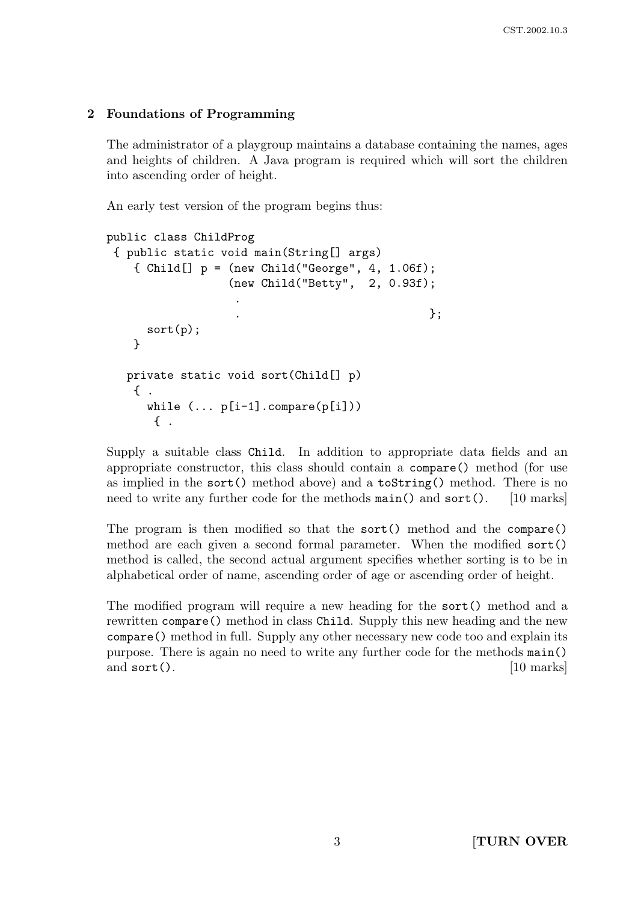## 2 Foundations of Programming

The administrator of a playgroup maintains a database containing the names, ages and heights of children. A Java program is required which will sort the children into ascending order of height.

An early test version of the program begins thus:

```
public class ChildProg
{ public static void main(String[] args)
   \{ Child[] p = (new Child("George", 4, 1.06f);
                  (new Child("Betty", 2, 0.93f);
                   .
                   . \hspace{1.6cm} \hspace{1.6cm} \};
     sort(p);
   }
  private static void sort(Child[] p)
   { .
     while (\ldots p[i-1].compare(p[i])){ .
```
Supply a suitable class Child. In addition to appropriate data fields and an appropriate constructor, this class should contain a compare() method (for use as implied in the sort() method above) and a toString() method. There is no need to write any further code for the methods main() and sort(). [10 marks]

The program is then modified so that the sort() method and the compare() method are each given a second formal parameter. When the modified sort() method is called, the second actual argument specifies whether sorting is to be in alphabetical order of name, ascending order of age or ascending order of height.

The modified program will require a new heading for the sort() method and a rewritten compare() method in class Child. Supply this new heading and the new compare() method in full. Supply any other necessary new code too and explain its purpose. There is again no need to write any further code for the methods main() and sort(). [10 marks]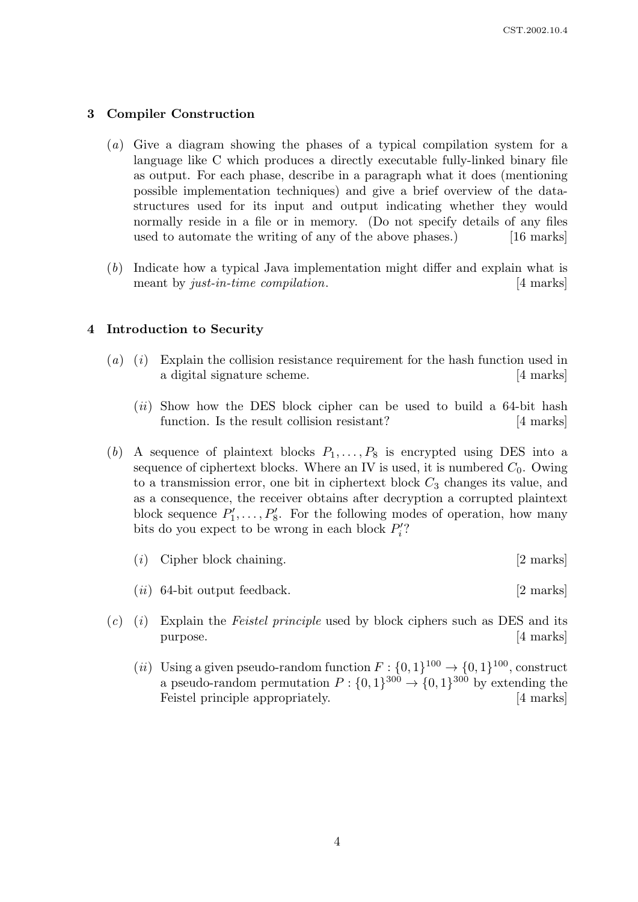#### 3 Compiler Construction

- (a) Give a diagram showing the phases of a typical compilation system for a language like C which produces a directly executable fully-linked binary file as output. For each phase, describe in a paragraph what it does (mentioning possible implementation techniques) and give a brief overview of the datastructures used for its input and output indicating whether they would normally reside in a file or in memory. (Do not specify details of any files used to automate the writing of any of the above phases.) [16 marks]
- (b) Indicate how a typical Java implementation might differ and explain what is meant by just-in-time compilation. [4 marks]

#### 4 Introduction to Security

- (a) (i) Explain the collision resistance requirement for the hash function used in a digital signature scheme. [4 marks]
	- $(ii)$  Show how the DES block cipher can be used to build a 64-bit hash function. Is the result collision resistant? [4 marks]
- (b) A sequence of plaintext blocks  $P_1, \ldots, P_8$  is encrypted using DES into a sequence of ciphertext blocks. Where an IV is used, it is numbered  $C_0$ . Owing to a transmission error, one bit in ciphertext block  $C_3$  changes its value, and as a consequence, the receiver obtains after decryption a corrupted plaintext block sequence  $P'_1, \ldots, P'_8$ . For the following modes of operation, how many bits do you expect to be wrong in each block  $P_i'$ ?
	- (i) Cipher block chaining. [2 marks]
	- $(ii)$  64-bit output feedback.  $[2 \text{ marks}]$
- $(c)$  (i) Explain the *Feistel principle* used by block ciphers such as DES and its purpose. [4 marks]
	- (*ii*) Using a given pseudo-random function  $F: \{0,1\}^{100} \to \{0,1\}^{100}$ , construct a pseudo-random permutation  $P: \{0,1\}^{300} \to \{0,1\}^{300}$  by extending the Feistel principle appropriately. [4 marks]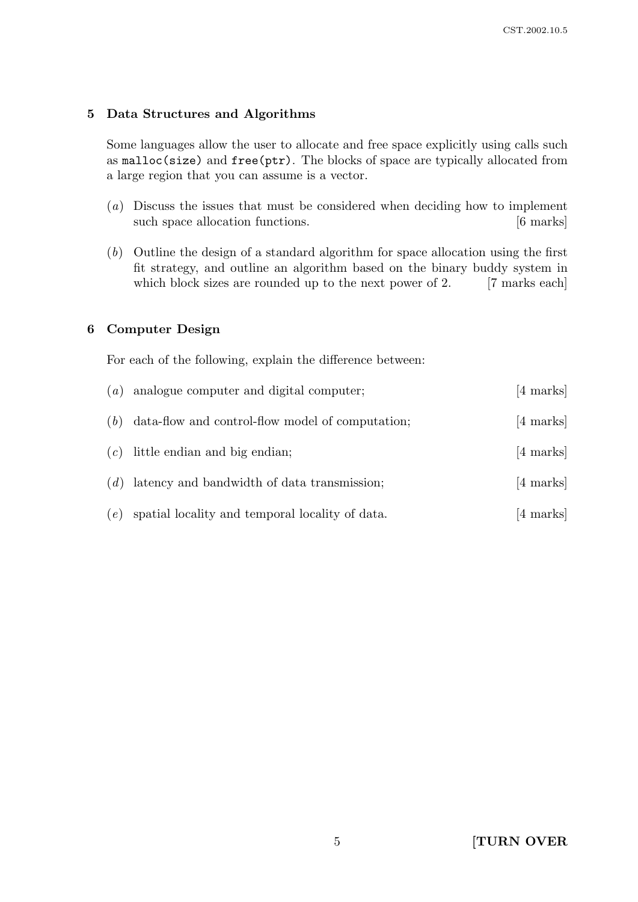#### 5 Data Structures and Algorithms

Some languages allow the user to allocate and free space explicitly using calls such as malloc(size) and free(ptr). The blocks of space are typically allocated from a large region that you can assume is a vector.

- (a) Discuss the issues that must be considered when deciding how to implement such space allocation functions. [6 marks]
- (b) Outline the design of a standard algorithm for space allocation using the first fit strategy, and outline an algorithm based on the binary buddy system in which block sizes are rounded up to the next power of 2. [7 marks each]

### 6 Computer Design

For each of the following, explain the difference between:

| (a) | analogue computer and digital computer;          | [4 marks]           |
|-----|--------------------------------------------------|---------------------|
| (b) | data-flow and control-flow model of computation; | $[4 \text{ marks}]$ |
| (c) | little endian and big endian;                    | [4 marks]           |
| (d) | latency and bandwidth of data transmission;      | [4 marks]           |
| (e) | spatial locality and temporal locality of data.  | $[4 \text{ marks}]$ |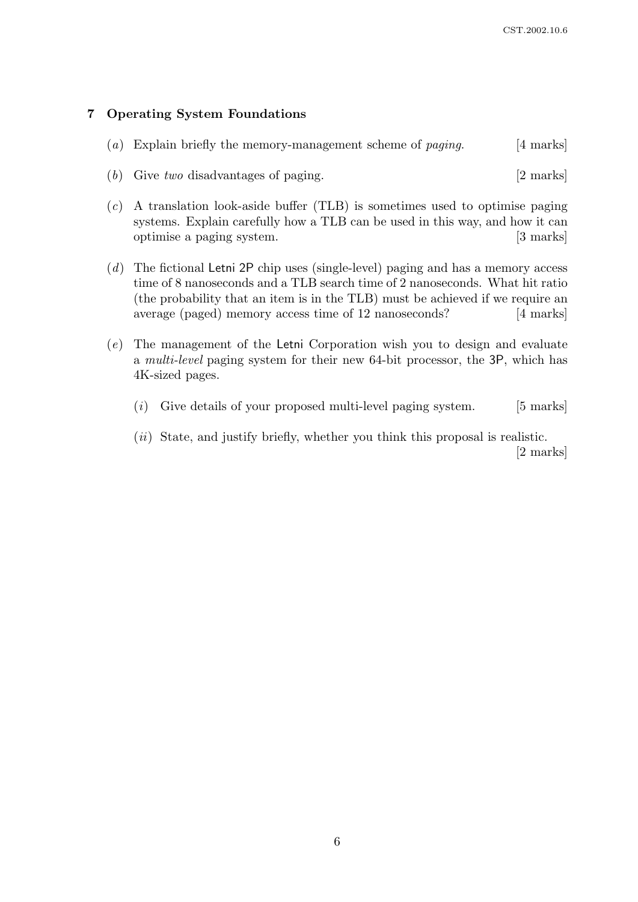#### 7 Operating System Foundations

- (a) Explain briefly the memory-management scheme of *paging*. [4 marks]
- (b) Give two disadvantages of paging. [2 marks]
- (c) A translation look-aside buffer (TLB) is sometimes used to optimise paging systems. Explain carefully how a TLB can be used in this way, and how it can optimise a paging system. [3 marks]
- (d) The fictional Letni 2P chip uses (single-level) paging and has a memory access time of 8 nanoseconds and a TLB search time of 2 nanoseconds. What hit ratio (the probability that an item is in the TLB) must be achieved if we require an average (paged) memory access time of 12 nanoseconds? [4 marks]
- (e) The management of the Letni Corporation wish you to design and evaluate a multi-level paging system for their new 64-bit processor, the 3P, which has 4K-sized pages.
	- $(i)$  Give details of your proposed multi-level paging system. [5 marks]
	- (*ii*) State, and justify briefly, whether you think this proposal is realistic. [2 marks]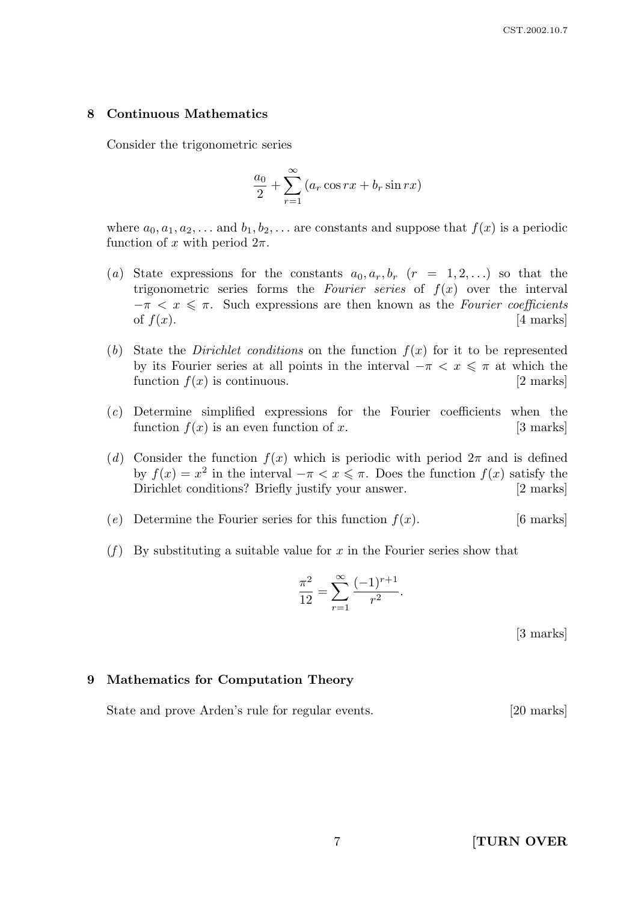#### 8 Continuous Mathematics

Consider the trigonometric series

$$
\frac{a_0}{2} + \sum_{r=1}^{\infty} (a_r \cos rx + b_r \sin rx)
$$

where  $a_0, a_1, a_2, \ldots$  and  $b_1, b_2, \ldots$  are constants and suppose that  $f(x)$  is a periodic function of x with period  $2\pi$ .

- (a) State expressions for the constants  $a_0, a_r, b_r$  ( $r = 1, 2, \ldots$ ) so that the trigonometric series forms the Fourier series of  $f(x)$  over the interval  $-\pi < x \leq \pi$ . Such expressions are then known as the Fourier coefficients of  $f(x)$ . [4 marks]
- (b) State the *Dirichlet conditions* on the function  $f(x)$  for it to be represented by its Fourier series at all points in the interval  $-\pi < x \leq \pi$  at which the function  $f(x)$  is continuous. [2 marks]
- (c) Determine simplified expressions for the Fourier coefficients when the function  $f(x)$  is an even function of x. [3 marks]
- (d) Consider the function  $f(x)$  which is periodic with period  $2\pi$  and is defined by  $f(x) = x^2$  in the interval  $-\pi < x \leq \pi$ . Does the function  $f(x)$  satisfy the Dirichlet conditions? Briefly justify your answer. [2 marks]
- (e) Determine the Fourier series for this function  $f(x)$ . [6 marks]
- (f) By substituting a suitable value for x in the Fourier series show that

$$
\frac{\pi^2}{12} = \sum_{r=1}^{\infty} \frac{(-1)^{r+1}}{r^2}.
$$

[3 marks]

#### 9 Mathematics for Computation Theory

State and prove Arden's rule for regular events. [20 marks]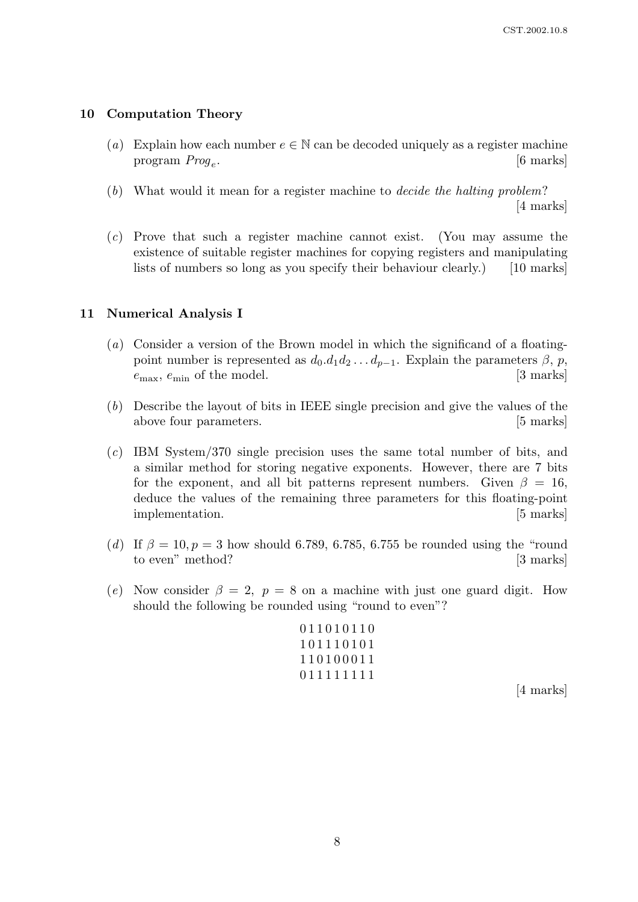#### 10 Computation Theory

- (a) Explain how each number  $e \in \mathbb{N}$  can be decoded uniquely as a register machine program  $Proq_e$ . . [6 marks]
- (b) What would it mean for a register machine to decide the halting problem? [4 marks]
- (c) Prove that such a register machine cannot exist. (You may assume the existence of suitable register machines for copying registers and manipulating lists of numbers so long as you specify their behaviour clearly.) [10 marks]

### 11 Numerical Analysis I

- (a) Consider a version of the Brown model in which the significand of a floatingpoint number is represented as  $d_0.d_1d_2 \ldots d_{p-1}$ . Explain the parameters  $\beta$ , p,  $e_{\text{max}}$ ,  $e_{\text{min}}$  of the model. [3 marks]
- (b) Describe the layout of bits in IEEE single precision and give the values of the above four parameters. [5 marks]
- (c) IBM System/370 single precision uses the same total number of bits, and a similar method for storing negative exponents. However, there are 7 bits for the exponent, and all bit patterns represent numbers. Given  $\beta = 16$ , deduce the values of the remaining three parameters for this floating-point implementation. [5 marks]
- (d) If  $\beta = 10, p = 3$  how should 6.789, 6.785, 6.755 be rounded using the "round" to even" method? [3 marks]
- (e) Now consider  $\beta = 2$ ,  $p = 8$  on a machine with just one guard digit. How should the following be rounded using "round to even"?

0 1 1 0 1 0 1 1 0 1 0 1 1 1 0 1 0 1 1 1 0 1 0 0 0 1 1 0 1 1 1 1 1 1 1 1

[4 marks]